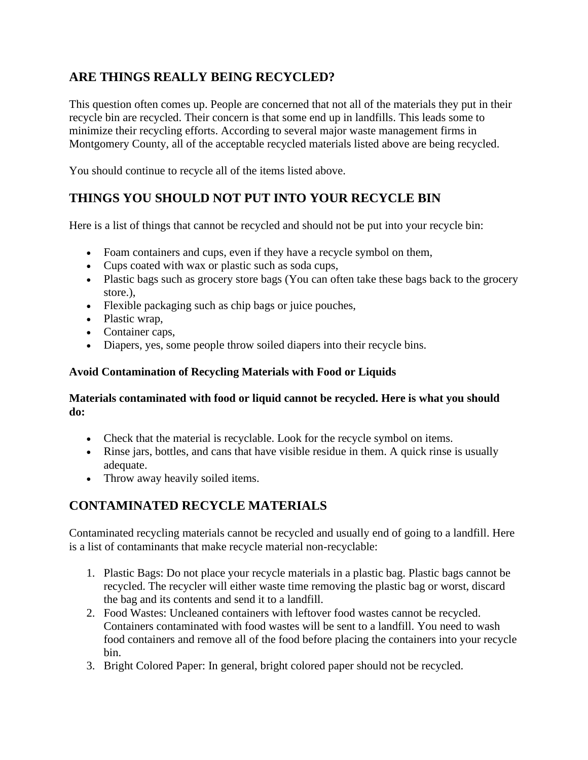### **ARE THINGS REALLY BEING RECYCLED?**

This question often comes up. People are concerned that not all of the materials they put in their recycle bin are recycled. Their concern is that some end up in landfills. This leads some to minimize their recycling efforts. According to several major waste management firms in Montgomery County, all of the acceptable recycled materials listed above are being recycled.

You should continue to recycle all of the items listed above.

## **THINGS YOU SHOULD NOT PUT INTO YOUR RECYCLE BIN**

Here is a list of things that cannot be recycled and should not be put into your recycle bin:

- Foam containers and cups, even if they have a recycle symbol on them,
- Cups coated with wax or plastic such as soda cups,
- Plastic bags such as grocery store bags (You can often take these bags back to the grocery store.),
- Flexible packaging such as chip bags or juice pouches,
- Plastic wrap,
- Container caps,
- Diapers, yes, some people throw soiled diapers into their recycle bins.

### **Avoid Contamination of Recycling Materials with Food or Liquids**

#### **Materials contaminated with food or liquid cannot be recycled. Here is what you should do:**

- Check that the material is recyclable. Look for the recycle symbol on items.
- Rinse jars, bottles, and cans that have visible residue in them. A quick rinse is usually adequate.
- Throw away heavily soiled items.

# **CONTAMINATED RECYCLE MATERIALS**

Contaminated recycling materials cannot be recycled and usually end of going to a landfill. Here is a list of contaminants that make recycle material non-recyclable:

- 1. Plastic Bags: Do not place your recycle materials in a plastic bag. Plastic bags cannot be recycled. The recycler will either waste time removing the plastic bag or worst, discard the bag and its contents and send it to a landfill.
- 2. Food Wastes: Uncleaned containers with leftover food wastes cannot be recycled. Containers contaminated with food wastes will be sent to a landfill. You need to wash food containers and remove all of the food before placing the containers into your recycle bin.
- 3. Bright Colored Paper: In general, bright colored paper should not be recycled.